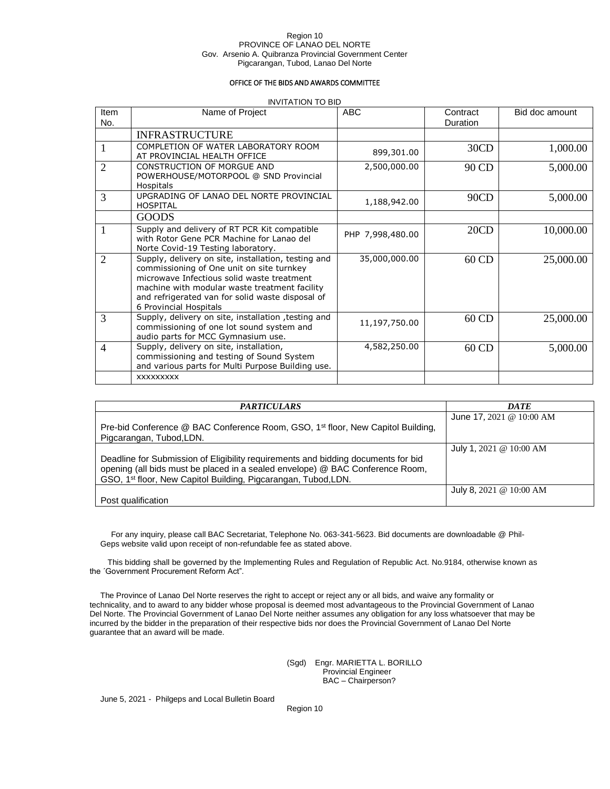#### Region 10 PROVINCE OF LANAO DEL NORTE Gov. Arsenio A. Quibranza Provincial Government Center Pigcarangan, Tubod, Lanao Del Norte

### OFFICE OF THE BIDS AND AWARDS COMMITTEE

#### INVITATION TO BID

| Item<br>No.    | Name of Project                                                                                                                                                                                                                                                               | ABC              | Contract<br>Duration | Bid doc amount |
|----------------|-------------------------------------------------------------------------------------------------------------------------------------------------------------------------------------------------------------------------------------------------------------------------------|------------------|----------------------|----------------|
|                | <b>INFRASTRUCTURE</b>                                                                                                                                                                                                                                                         |                  |                      |                |
|                | COMPLETION OF WATER LABORATORY ROOM<br>AT PROVINCIAL HEALTH OFFICE                                                                                                                                                                                                            | 899,301.00       | 30CD                 | 1,000.00       |
| $\overline{2}$ | CONSTRUCTION OF MORGUE AND<br>POWERHOUSE/MOTORPOOL @ SND Provincial<br><b>Hospitals</b>                                                                                                                                                                                       | 2,500,000.00     | 90 CD                | 5,000.00       |
| 3              | UPGRADING OF LANAO DEL NORTE PROVINCIAL<br><b>HOSPITAL</b>                                                                                                                                                                                                                    | 1,188,942.00     | 90CD                 | 5,000.00       |
|                | <b>GOODS</b>                                                                                                                                                                                                                                                                  |                  |                      |                |
|                | Supply and delivery of RT PCR Kit compatible<br>with Rotor Gene PCR Machine for Lanao del<br>Norte Covid-19 Testing laboratory.                                                                                                                                               | PHP 7,998,480.00 | 20CD                 | 10,000.00      |
| $\overline{2}$ | Supply, delivery on site, installation, testing and<br>commissioning of One unit on site turnkey<br>microwave Infectious solid waste treatment<br>machine with modular waste treatment facility<br>and refrigerated van for solid waste disposal of<br>6 Provincial Hospitals | 35,000,000.00    | 60 CD                | 25,000.00      |
| 3              | Supply, delivery on site, installation, testing and<br>commissioning of one lot sound system and<br>audio parts for MCC Gymnasium use.                                                                                                                                        | 11,197,750.00    | 60 CD                | 25,000.00      |
| $\overline{4}$ | Supply, delivery on site, installation,<br>commissioning and testing of Sound System<br>and various parts for Multi Purpose Building use.                                                                                                                                     | 4,582,250.00     | 60 CD                | 5,000.00       |
|                | <b>XXXXXXXXX</b>                                                                                                                                                                                                                                                              |                  |                      |                |

| <i><b>PARTICULARS</b></i>                                                                                                                                                                                                                        | <b>DATE</b>                          |
|--------------------------------------------------------------------------------------------------------------------------------------------------------------------------------------------------------------------------------------------------|--------------------------------------|
| Pre-bid Conference @ BAC Conference Room, GSO, 1 <sup>st</sup> floor, New Capitol Building,<br>Pigcarangan, Tubod, LDN.                                                                                                                          | June 17, $2021 \ @ 10:00 \text{ AM}$ |
| Deadline for Submission of Eligibility requirements and bidding documents for bid<br>opening (all bids must be placed in a sealed envelope) @ BAC Conference Room,<br>GSO, 1 <sup>st</sup> floor, New Capitol Building, Pigcarangan, Tubod, LDN. | July 1, 2021 @ $10:00$ AM            |
| Post qualification                                                                                                                                                                                                                               | July 8, 2021 @ $10:00$ AM            |

For any inquiry, please call BAC Secretariat, Telephone No. 063-341-5623. Bid documents are downloadable @ Phil-Geps website valid upon receipt of non-refundable fee as stated above.

This bidding shall be governed by the Implementing Rules and Regulation of Republic Act. No.9184, otherwise known as the ´Government Procurement Reform Act".

The Province of Lanao Del Norte reserves the right to accept or reject any or all bids, and waive any formality or technicality, and to award to any bidder whose proposal is deemed most advantageous to the Provincial Government of Lanao Del Norte. The Provincial Government of Lanao Del Norte neither assumes any obligation for any loss whatsoever that may be incurred by the bidder in the preparation of their respective bids nor does the Provincial Government of Lanao Del Norte guarantee that an award will be made.

> (Sgd) Engr. MARIETTA L. BORILLO Provincial Engineer BAC – Chairperson?

June 5, 2021 - Philgeps and Local Bulletin Board

Region 10